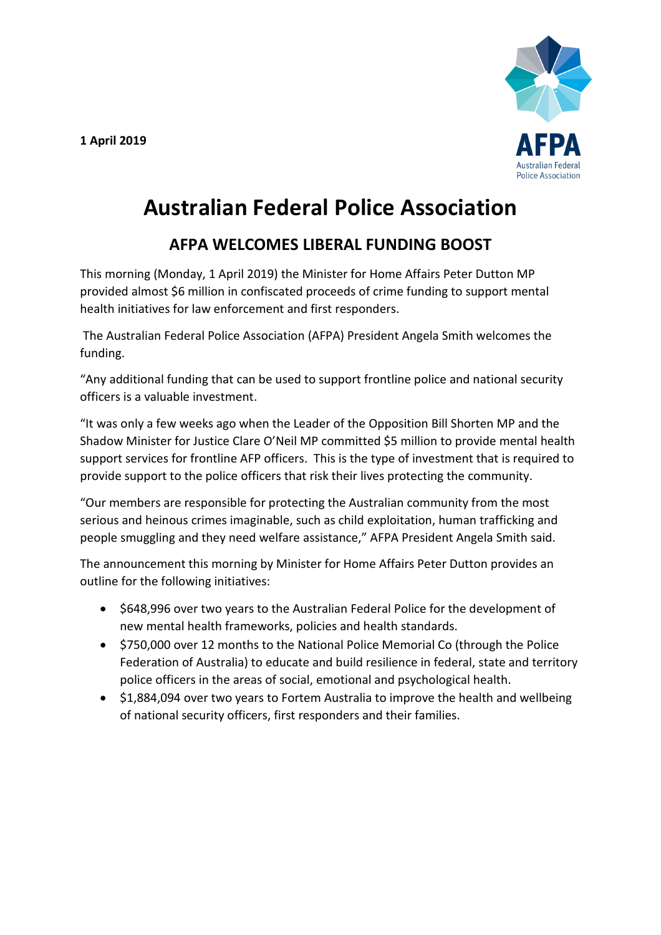**1 April 2019**



## **Australian Federal Police Association**

## **AFPA WELCOMES LIBERAL FUNDING BOOST**

This morning (Monday, 1 April 2019) the Minister for Home Affairs Peter Dutton MP provided almost \$6 million in confiscated proceeds of crime funding to support mental health initiatives for law enforcement and first responders.

The Australian Federal Police Association (AFPA) President Angela Smith welcomes the funding.

"Any additional funding that can be used to support frontline police and national security officers is a valuable investment.

"It was only a few weeks ago when the Leader of the Opposition Bill Shorten MP and the Shadow Minister for Justice Clare O'Neil MP committed \$5 million to provide mental health support services for frontline AFP officers. This is the type of investment that is required to provide support to the police officers that risk their lives protecting the community.

"Our members are responsible for protecting the Australian community from the most serious and heinous crimes imaginable, such as child exploitation, human trafficking and people smuggling and they need welfare assistance," AFPA President Angela Smith said.

The announcement this morning by Minister for Home Affairs Peter Dutton provides an outline for the following initiatives:

- \$648,996 over two years to the Australian Federal Police for the development of new mental health frameworks, policies and health standards.
- \$750,000 over 12 months to the National Police Memorial Co (through the Police Federation of Australia) to educate and build resilience in federal, state and territory police officers in the areas of social, emotional and psychological health.
- \$1,884,094 over two years to Fortem Australia to improve the health and wellbeing of national security officers, first responders and their families.